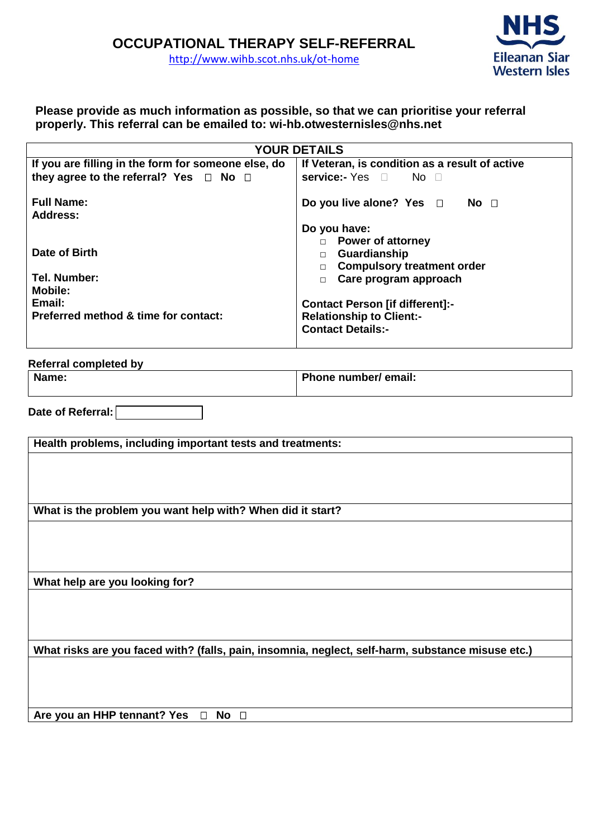

**Please provide as much information as possible, so that we can prioritise your referral properly. This referral can be emailed to: wi-hb.otwesternisles@nhs.net**

| <b>YOUR DETAILS</b>                                 |                                                                          |  |
|-----------------------------------------------------|--------------------------------------------------------------------------|--|
| If you are filling in the form for someone else, do | If Veteran, is condition as a result of active                           |  |
| they agree to the referral? Yes $\Box$ No $\Box$    | service:- Yes □ No □                                                     |  |
| <b>Full Name:</b><br><b>Address:</b>                | Do you live alone? Yes $\Box$ No $\Box$                                  |  |
|                                                     | Do you have:                                                             |  |
| Date of Birth                                       | D Power of attorney<br>Guardianship<br><b>Compulsory treatment order</b> |  |
| Tel. Number:                                        | Care program approach                                                    |  |
| <b>Mobile:</b>                                      |                                                                          |  |
| Email:                                              | <b>Contact Person [if different]:-</b>                                   |  |
| Preferred method & time for contact:                | <b>Relationship to Client:-</b><br><b>Contact Details:-</b>              |  |

## **Referral completed by Phone number/ email:**

| Name |
|------|
|      |
|      |

**Date of Referral:**

**Health problems, including important tests and treatments: What is the problem you want help with? When did it start? What help are you looking for? What risks are you faced with? (falls, pain, insomnia, neglect, self-harm, substance misuse etc.) Are you an HHP tennant? Yes**  $\Box$  **No**  $\Box$